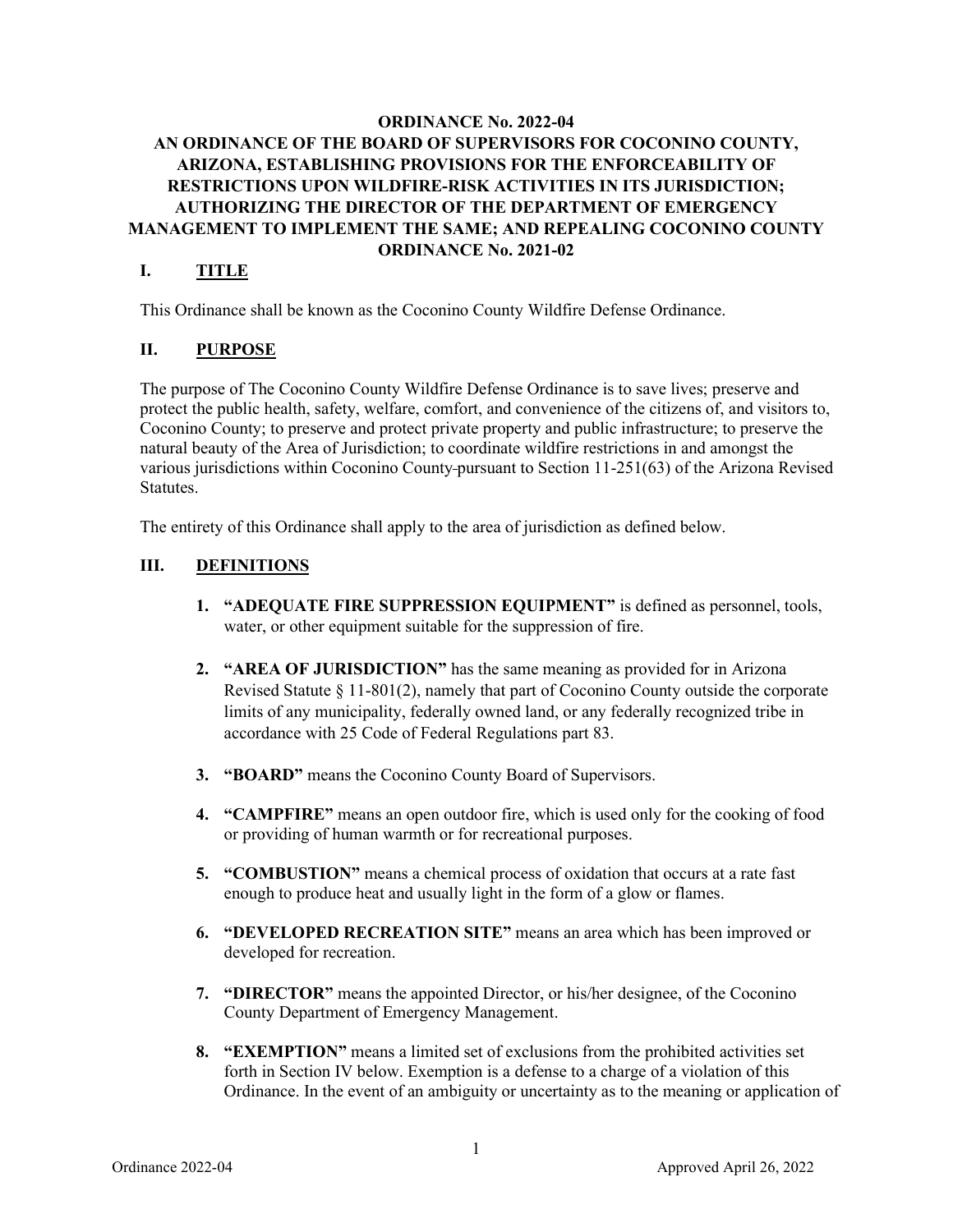## **ORDINANCE No. 2022-04 AN ORDINANCE OF THE BOARD OF SUPERVISORS FOR COCONINO COUNTY, ARIZONA, ESTABLISHING PROVISIONS FOR THE ENFORCEABILITY OF RESTRICTIONS UPON WILDFIRE-RISK ACTIVITIES IN ITS JURISDICTION; AUTHORIZING THE DIRECTOR OF THE DEPARTMENT OF EMERGENCY MANAGEMENT TO IMPLEMENT THE SAME; AND REPEALING COCONINO COUNTY ORDINANCE No. 2021-02**

## **I. TITLE**

This Ordinance shall be known as the Coconino County Wildfire Defense Ordinance.

### **II. PURPOSE**

The purpose of The Coconino County Wildfire Defense Ordinance is to save lives; preserve and protect the public health, safety, welfare, comfort, and convenience of the citizens of, and visitors to, Coconino County; to preserve and protect private property and public infrastructure; to preserve the natural beauty of the Area of Jurisdiction; to coordinate wildfire restrictions in and amongst the various jurisdictions within Coconino County pursuant to Section 11-251(63) of the Arizona Revised Statutes.

The entirety of this Ordinance shall apply to the area of jurisdiction as defined below.

## **III. DEFINITIONS**

- **1. "ADEQUATE FIRE SUPPRESSION EQUIPMENT"** is defined as personnel, tools, water, or other equipment suitable for the suppression of fire.
- **2. "AREA OF JURISDICTION"** has the same meaning as provided for in Arizona Revised Statute § 11-801(2), namely that part of Coconino County outside the corporate limits of any municipality, federally owned land, or any federally recognized tribe in accordance with 25 Code of Federal Regulations part 83.
- **3. "BOARD"** means the Coconino County Board of Supervisors.
- **4. "CAMPFIRE"** means an open outdoor fire, which is used only for the cooking of food or providing of human warmth or for recreational purposes.
- **5. "COMBUSTION"** means a chemical process of oxidation that occurs at a rate fast enough to produce heat and usually light in the form of a glow or flames.
- **6. "DEVELOPED RECREATION SITE"** means an area which has been improved or developed for recreation.
- **7. "DIRECTOR"** means the appointed Director, or his/her designee, of the Coconino County Department of Emergency Management.
- **8. "EXEMPTION"** means a limited set of exclusions from the prohibited activities set forth in Section IV below. Exemption is a defense to a charge of a violation of this Ordinance. In the event of an ambiguity or uncertainty as to the meaning or application of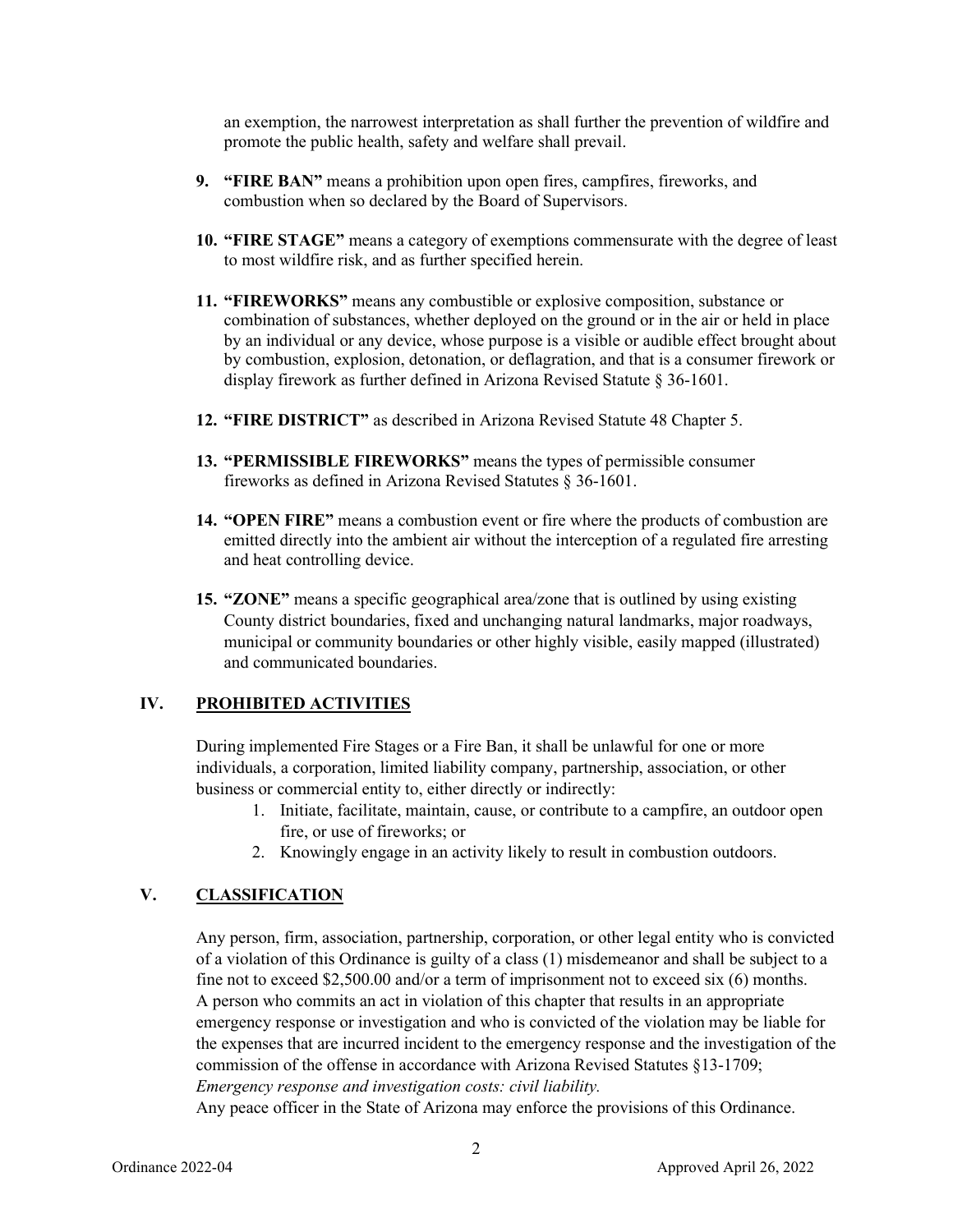an exemption, the narrowest interpretation as shall further the prevention of wildfire and promote the public health, safety and welfare shall prevail.

- **9. "FIRE BAN"** means a prohibition upon open fires, campfires, fireworks, and combustion when so declared by the Board of Supervisors.
- **10. "FIRE STAGE"** means a category of exemptions commensurate with the degree of least to most wildfire risk, and as further specified herein.
- **11. "FIREWORKS"** means any combustible or explosive composition, substance or combination of substances, whether deployed on the ground or in the air or held in place by an individual or any device, whose purpose is a visible or audible effect brought about by combustion, explosion, detonation, or deflagration, and that is a consumer firework or display firework as further defined in Arizona Revised Statute § 36-1601.
- **12. "FIRE DISTRICT"** as described in Arizona Revised Statute 48 Chapter 5.
- **13. "PERMISSIBLE FIREWORKS"** means the types of permissible consumer fireworks as defined in Arizona Revised Statutes § 36-1601.
- **14. "OPEN FIRE"** means a combustion event or fire where the products of combustion are emitted directly into the ambient air without the interception of a regulated fire arresting and heat controlling device.
- **15. "ZONE"** means a specific geographical area/zone that is outlined by using existing County district boundaries, fixed and unchanging natural landmarks, major roadways, municipal or community boundaries or other highly visible, easily mapped (illustrated) and communicated boundaries.

### **IV. PROHIBITED ACTIVITIES**

During implemented Fire Stages or a Fire Ban, it shall be unlawful for one or more individuals, a corporation, limited liability company, partnership, association, or other business or commercial entity to, either directly or indirectly:

- 1. Initiate, facilitate, maintain, cause, or contribute to a campfire, an outdoor open fire, or use of fireworks; or
- 2. Knowingly engage in an activity likely to result in combustion outdoors.

## **V. CLASSIFICATION**

Any person, firm, association, partnership, corporation, or other legal entity who is convicted of a violation of this Ordinance is guilty of a class (1) misdemeanor and shall be subject to a fine not to exceed \$2,500.00 and/or a term of imprisonment not to exceed six (6) months. A person who commits an act in violation of this chapter that results in an appropriate emergency response or investigation and who is convicted of the violation may be liable for the expenses that are incurred incident to the emergency response and the investigation of the commission of the offense in accordance with Arizona Revised Statutes §13-1709; *Emergency response and investigation costs: civil liability.*

Any peace officer in the State of Arizona may enforce the provisions of this Ordinance.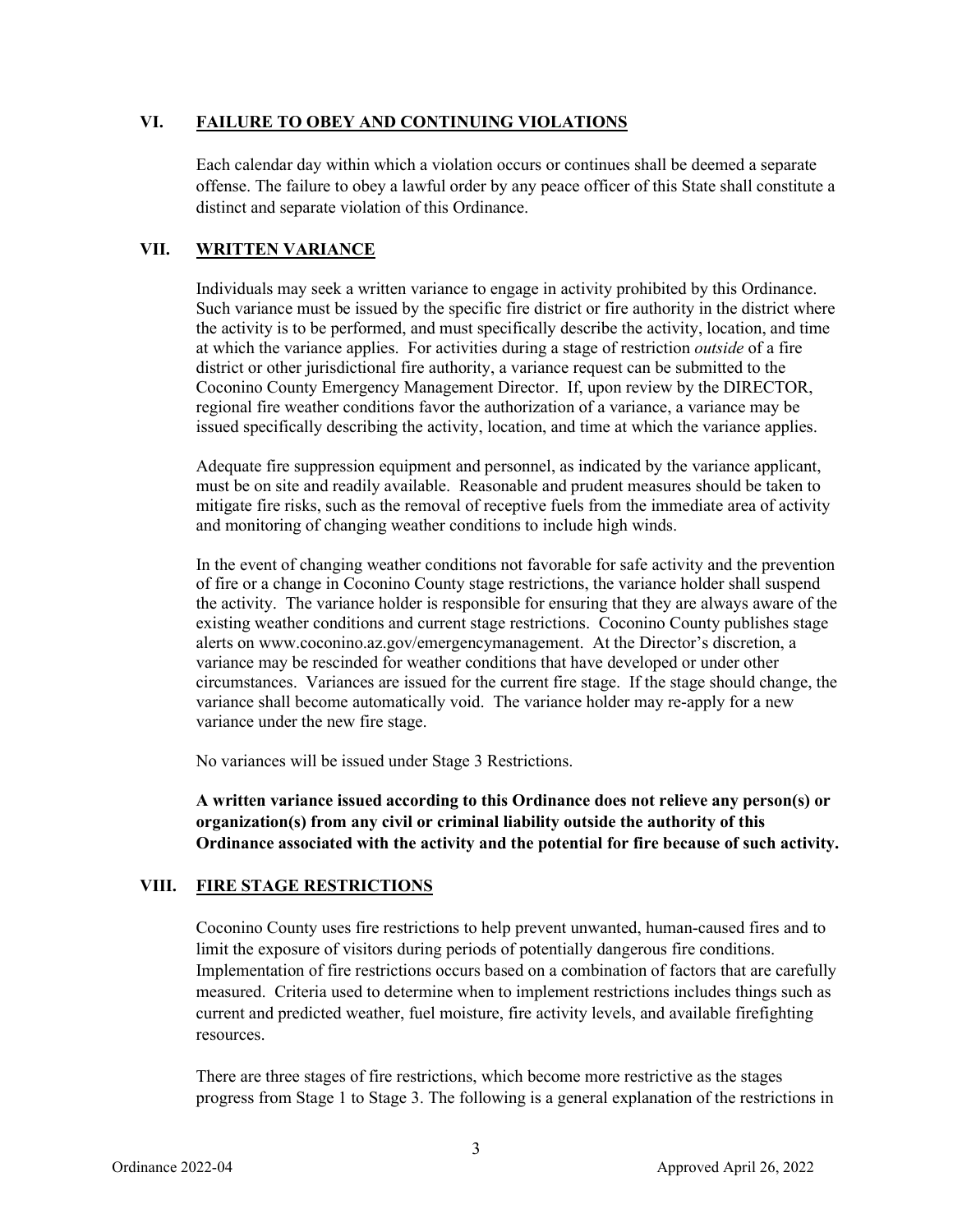### **VI. FAILURE TO OBEY AND CONTINUING VIOLATIONS**

Each calendar day within which a violation occurs or continues shall be deemed a separate offense. The failure to obey a lawful order by any peace officer of this State shall constitute a distinct and separate violation of this Ordinance.

### **VII. WRITTEN VARIANCE**

Individuals may seek a written variance to engage in activity prohibited by this Ordinance. Such variance must be issued by the specific fire district or fire authority in the district where the activity is to be performed, and must specifically describe the activity, location, and time at which the variance applies. For activities during a stage of restriction *outside* of a fire district or other jurisdictional fire authority, a variance request can be submitted to the Coconino County Emergency Management Director. If, upon review by the DIRECTOR, regional fire weather conditions favor the authorization of a variance, a variance may be issued specifically describing the activity, location, and time at which the variance applies.

Adequate fire suppression equipment and personnel, as indicated by the variance applicant, must be on site and readily available. Reasonable and prudent measures should be taken to mitigate fire risks, such as the removal of receptive fuels from the immediate area of activity and monitoring of changing weather conditions to include high winds.

In the event of changing weather conditions not favorable for safe activity and the prevention of fire or a change in Coconino County stage restrictions, the variance holder shall suspend the activity. The variance holder is responsible for ensuring that they are always aware of the existing weather conditions and current stage restrictions. Coconino County publishes stage alerts on www.coconino.az.gov/emergencymanagement. At the Director's discretion, a variance may be rescinded for weather conditions that have developed or under other circumstances. Variances are issued for the current fire stage. If the stage should change, the variance shall become automatically void. The variance holder may re-apply for a new variance under the new fire stage.

No variances will be issued under Stage 3 Restrictions.

**A written variance issued according to this Ordinance does not relieve any person(s) or organization(s) from any civil or criminal liability outside the authority of this Ordinance associated with the activity and the potential for fire because of such activity.**

## **VIII. FIRE STAGE RESTRICTIONS**

Coconino County uses fire restrictions to help prevent unwanted, human-caused fires and to limit the exposure of visitors during periods of potentially dangerous fire conditions. Implementation of fire restrictions occurs based on a combination of factors that are carefully measured. Criteria used to determine when to implement restrictions includes things such as current and predicted weather, fuel moisture, fire activity levels, and available firefighting resources.

There are three stages of fire restrictions, which become more restrictive as the stages progress from Stage 1 to Stage 3. The following is a general explanation of the restrictions in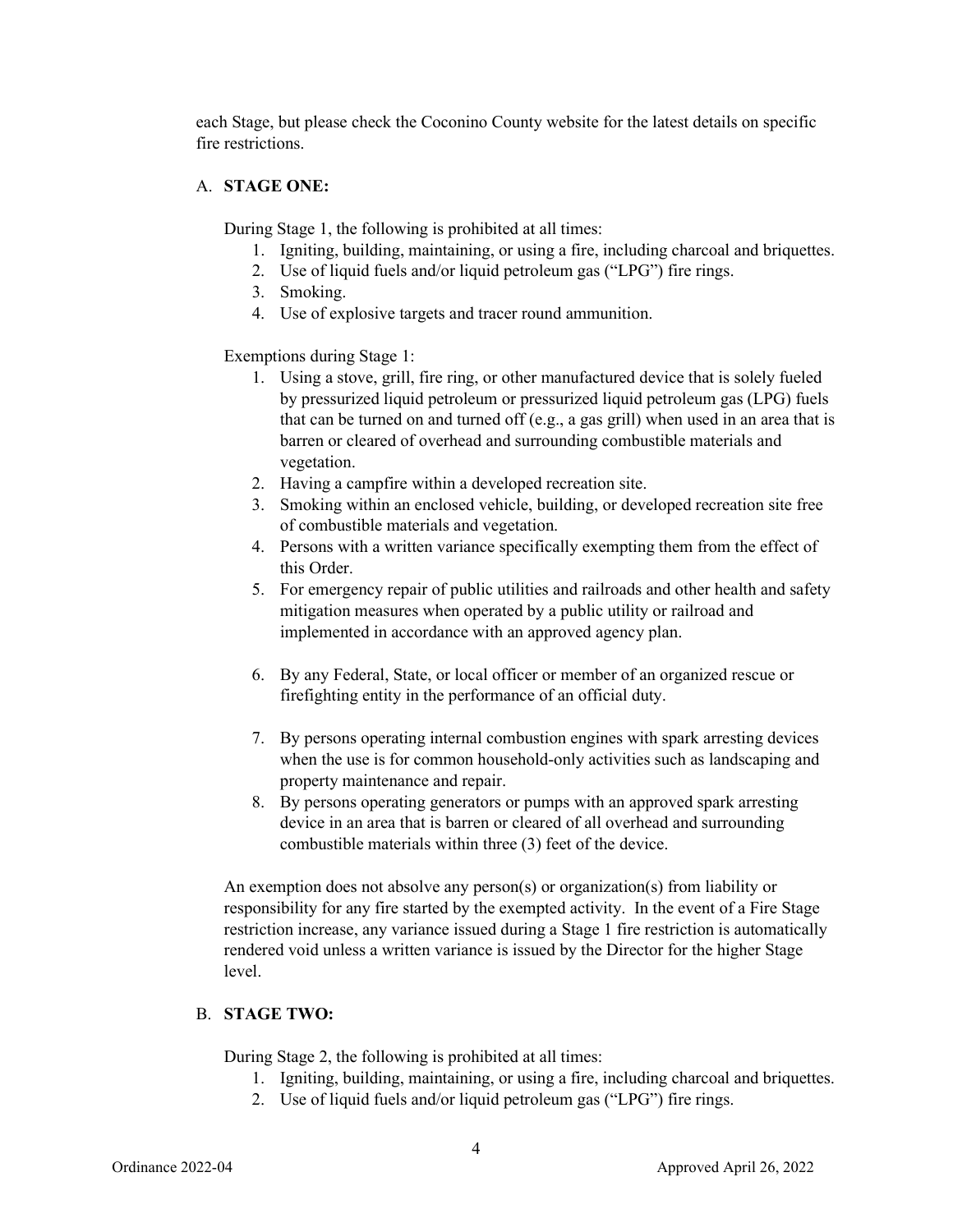each Stage, but please check the Coconino County website for the latest details on specific fire restrictions.

### A. **STAGE ONE:**

During Stage 1, the following is prohibited at all times:

- 1. Igniting, building, maintaining, or using a fire, including charcoal and briquettes.
- 2. Use of liquid fuels and/or liquid petroleum gas ("LPG") fire rings.
- 3. Smoking.
- 4. Use of explosive targets and tracer round ammunition.

Exemptions during Stage 1:

- 1. Using a stove, grill, fire ring, or other manufactured device that is solely fueled by pressurized liquid petroleum or pressurized liquid petroleum gas (LPG) fuels that can be turned on and turned off (e.g., a gas grill) when used in an area that is barren or cleared of overhead and surrounding combustible materials and vegetation.
- 2. Having a campfire within a developed recreation site.
- 3. Smoking within an enclosed vehicle, building, or developed recreation site free of combustible materials and vegetation.
- 4. Persons with a written variance specifically exempting them from the effect of this Order.
- 5. For emergency repair of public utilities and railroads and other health and safety mitigation measures when operated by a public utility or railroad and implemented in accordance with an approved agency plan.
- 6. By any Federal, State, or local officer or member of an organized rescue or firefighting entity in the performance of an official duty.
- 7. By persons operating internal combustion engines with spark arresting devices when the use is for common household-only activities such as landscaping and property maintenance and repair.
- 8. By persons operating generators or pumps with an approved spark arresting device in an area that is barren or cleared of all overhead and surrounding combustible materials within three (3) feet of the device.

An exemption does not absolve any person(s) or organization(s) from liability or responsibility for any fire started by the exempted activity. In the event of a Fire Stage restriction increase, any variance issued during a Stage 1 fire restriction is automatically rendered void unless a written variance is issued by the Director for the higher Stage level.

## B. **STAGE TWO:**

During Stage 2, the following is prohibited at all times:

- 1. Igniting, building, maintaining, or using a fire, including charcoal and briquettes.
- 2. Use of liquid fuels and/or liquid petroleum gas ("LPG") fire rings.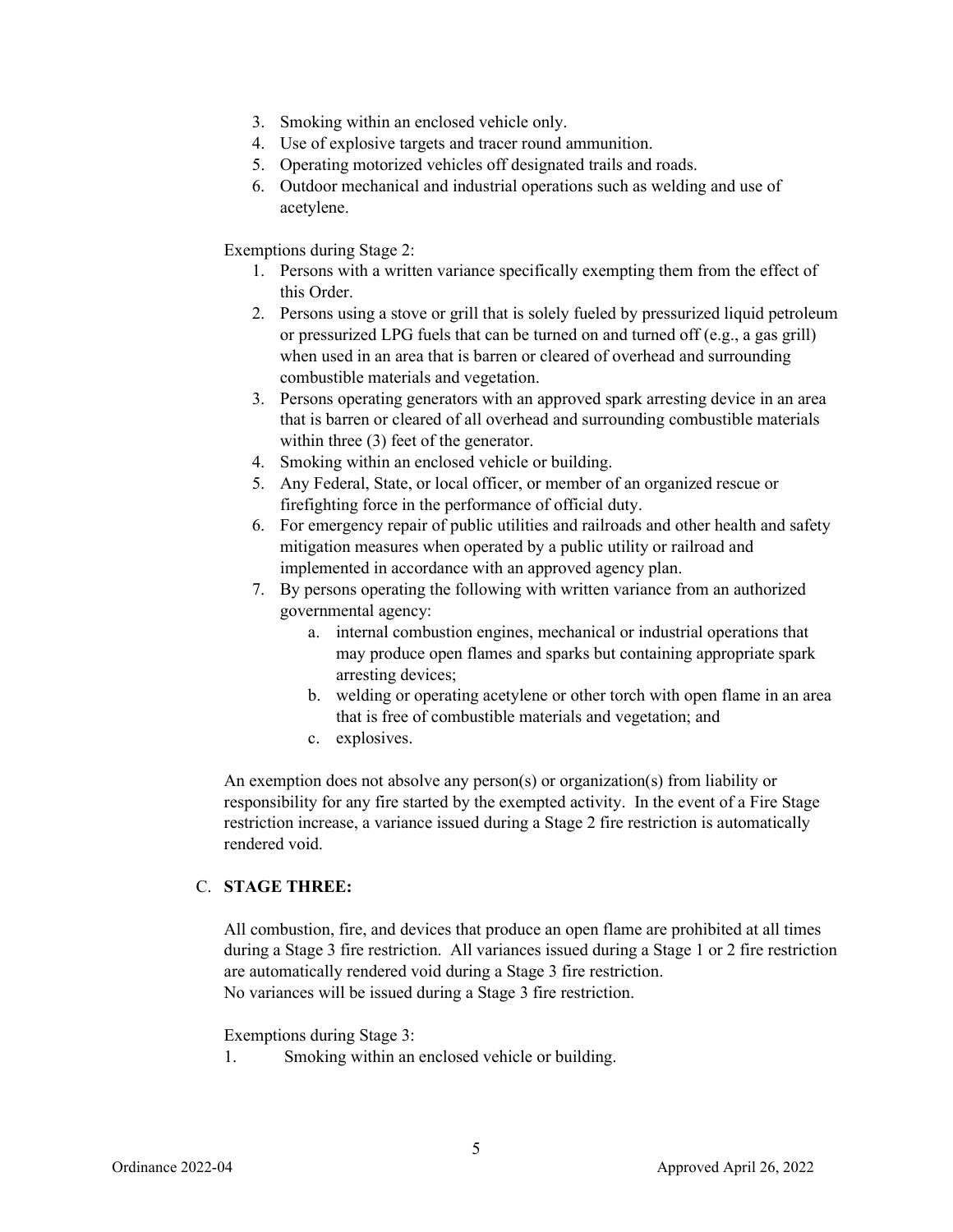- 3. Smoking within an enclosed vehicle only.
- 4. Use of explosive targets and tracer round ammunition.
- 5. Operating motorized vehicles off designated trails and roads.
- 6. Outdoor mechanical and industrial operations such as welding and use of acetylene.

Exemptions during Stage 2:

- 1. Persons with a written variance specifically exempting them from the effect of this Order.
- 2. Persons using a stove or grill that is solely fueled by pressurized liquid petroleum or pressurized LPG fuels that can be turned on and turned off (e.g., a gas grill) when used in an area that is barren or cleared of overhead and surrounding combustible materials and vegetation.
- 3. Persons operating generators with an approved spark arresting device in an area that is barren or cleared of all overhead and surrounding combustible materials within three (3) feet of the generator.
- 4. Smoking within an enclosed vehicle or building.
- 5. Any Federal, State, or local officer, or member of an organized rescue or firefighting force in the performance of official duty.
- 6. For emergency repair of public utilities and railroads and other health and safety mitigation measures when operated by a public utility or railroad and implemented in accordance with an approved agency plan.
- 7. By persons operating the following with written variance from an authorized governmental agency:
	- a. internal combustion engines, mechanical or industrial operations that may produce open flames and sparks but containing appropriate spark arresting devices;
	- b. welding or operating acetylene or other torch with open flame in an area that is free of combustible materials and vegetation; and
	- c. explosives.

An exemption does not absolve any person(s) or organization(s) from liability or responsibility for any fire started by the exempted activity. In the event of a Fire Stage restriction increase, a variance issued during a Stage 2 fire restriction is automatically rendered void.

### C. **STAGE THREE:**

All combustion, fire, and devices that produce an open flame are prohibited at all times during a Stage 3 fire restriction. All variances issued during a Stage 1 or 2 fire restriction are automatically rendered void during a Stage 3 fire restriction. No variances will be issued during a Stage 3 fire restriction.

#### Exemptions during Stage 3:

5

1. Smoking within an enclosed vehicle or building.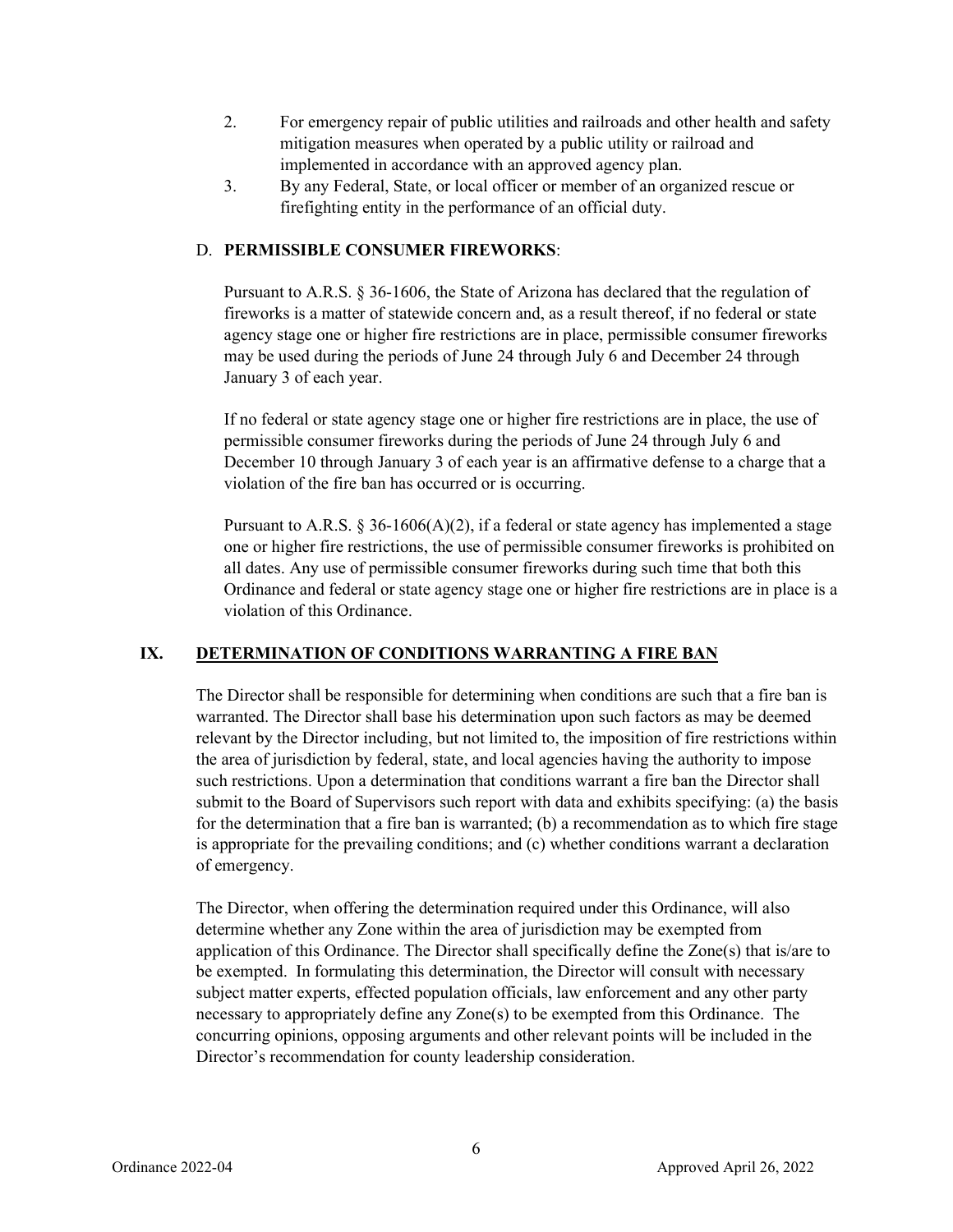- 2. For emergency repair of public utilities and railroads and other health and safety mitigation measures when operated by a public utility or railroad and implemented in accordance with an approved agency plan.
- 3. By any Federal, State, or local officer or member of an organized rescue or firefighting entity in the performance of an official duty.

### D. **PERMISSIBLE CONSUMER FIREWORKS**:

Pursuant to A.R.S. § 36-1606, the State of Arizona has declared that the regulation of fireworks is a matter of statewide concern and, as a result thereof, if no federal or state agency stage one or higher fire restrictions are in place, permissible consumer fireworks may be used during the periods of June 24 through July 6 and December 24 through January 3 of each year.

If no federal or state agency stage one or higher fire restrictions are in place, the use of permissible consumer fireworks during the periods of June 24 through July 6 and December 10 through January 3 of each year is an affirmative defense to a charge that a violation of the fire ban has occurred or is occurring.

Pursuant to A.R.S.  $\frac{836-1606}{A(2)}$ , if a federal or state agency has implemented a stage one or higher fire restrictions, the use of permissible consumer fireworks is prohibited on all dates. Any use of permissible consumer fireworks during such time that both this Ordinance and federal or state agency stage one or higher fire restrictions are in place is a violation of this Ordinance.

## **IX. DETERMINATION OF CONDITIONS WARRANTING A FIRE BAN**

The Director shall be responsible for determining when conditions are such that a fire ban is warranted. The Director shall base his determination upon such factors as may be deemed relevant by the Director including, but not limited to, the imposition of fire restrictions within the area of jurisdiction by federal, state, and local agencies having the authority to impose such restrictions. Upon a determination that conditions warrant a fire ban the Director shall submit to the Board of Supervisors such report with data and exhibits specifying: (a) the basis for the determination that a fire ban is warranted; (b) a recommendation as to which fire stage is appropriate for the prevailing conditions; and (c) whether conditions warrant a declaration of emergency.

The Director, when offering the determination required under this Ordinance, will also determine whether any Zone within the area of jurisdiction may be exempted from application of this Ordinance. The Director shall specifically define the Zone(s) that is/are to be exempted. In formulating this determination, the Director will consult with necessary subject matter experts, effected population officials, law enforcement and any other party necessary to appropriately define any Zone(s) to be exempted from this Ordinance. The concurring opinions, opposing arguments and other relevant points will be included in the Director's recommendation for county leadership consideration.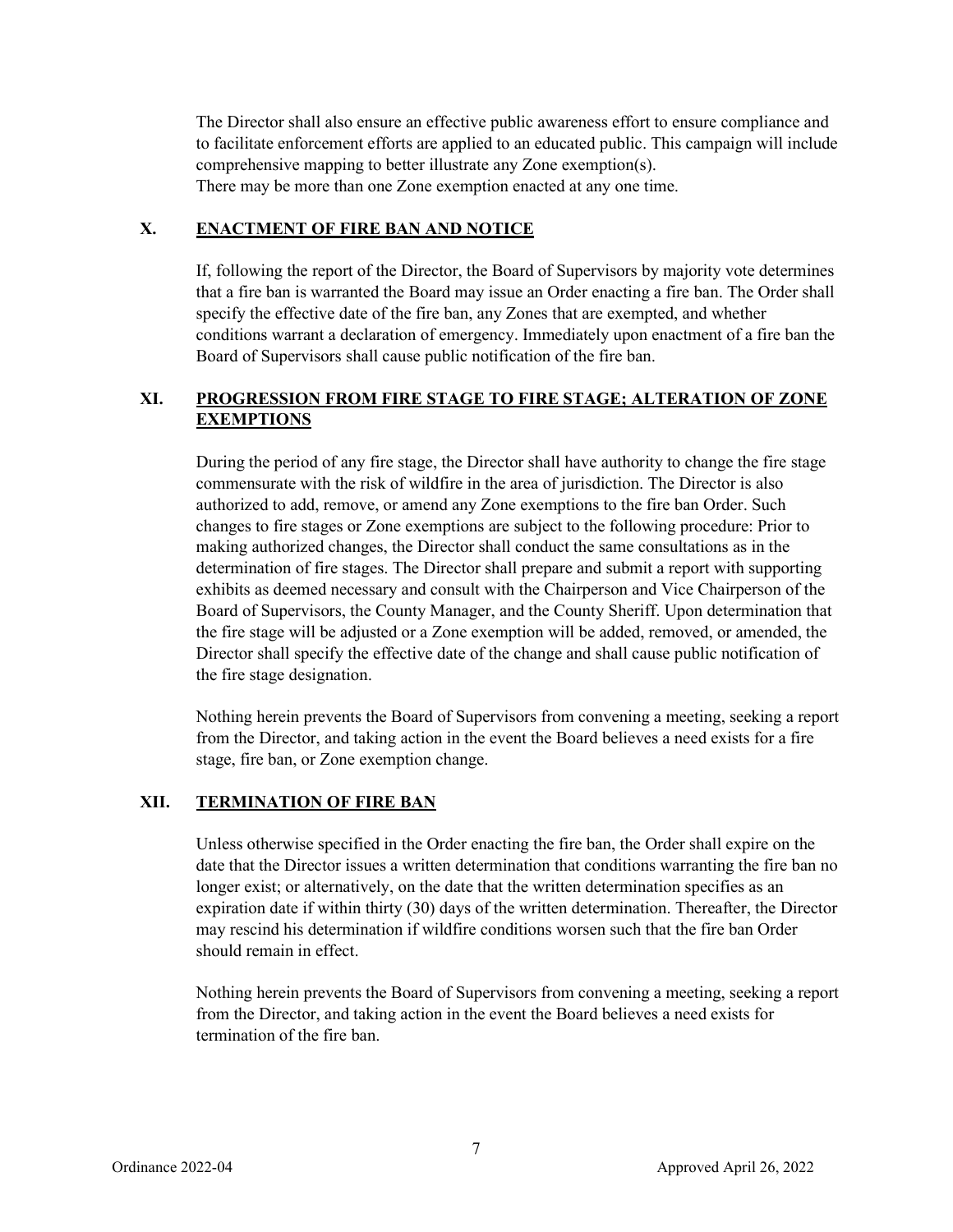The Director shall also ensure an effective public awareness effort to ensure compliance and to facilitate enforcement efforts are applied to an educated public. This campaign will include comprehensive mapping to better illustrate any Zone exemption(s). There may be more than one Zone exemption enacted at any one time.

### **X. ENACTMENT OF FIRE BAN AND NOTICE**

If, following the report of the Director, the Board of Supervisors by majority vote determines that a fire ban is warranted the Board may issue an Order enacting a fire ban. The Order shall specify the effective date of the fire ban, any Zones that are exempted, and whether conditions warrant a declaration of emergency. Immediately upon enactment of a fire ban the Board of Supervisors shall cause public notification of the fire ban.

# **XI. PROGRESSION FROM FIRE STAGE TO FIRE STAGE; ALTERATION OF ZONE EXEMPTIONS**

During the period of any fire stage, the Director shall have authority to change the fire stage commensurate with the risk of wildfire in the area of jurisdiction. The Director is also authorized to add, remove, or amend any Zone exemptions to the fire ban Order. Such changes to fire stages or Zone exemptions are subject to the following procedure: Prior to making authorized changes, the Director shall conduct the same consultations as in the determination of fire stages. The Director shall prepare and submit a report with supporting exhibits as deemed necessary and consult with the Chairperson and Vice Chairperson of the Board of Supervisors, the County Manager, and the County Sheriff. Upon determination that the fire stage will be adjusted or a Zone exemption will be added, removed, or amended, the Director shall specify the effective date of the change and shall cause public notification of the fire stage designation.

Nothing herein prevents the Board of Supervisors from convening a meeting, seeking a report from the Director, and taking action in the event the Board believes a need exists for a fire stage, fire ban, or Zone exemption change.

## **XII. TERMINATION OF FIRE BAN**

Unless otherwise specified in the Order enacting the fire ban, the Order shall expire on the date that the Director issues a written determination that conditions warranting the fire ban no longer exist; or alternatively, on the date that the written determination specifies as an expiration date if within thirty (30) days of the written determination. Thereafter, the Director may rescind his determination if wildfire conditions worsen such that the fire ban Order should remain in effect.

Nothing herein prevents the Board of Supervisors from convening a meeting, seeking a report from the Director, and taking action in the event the Board believes a need exists for termination of the fire ban.